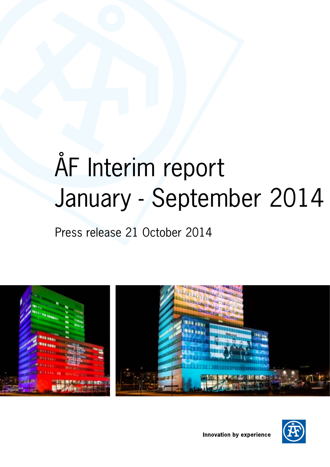# ÅF Interim report January - September 2014

Press release 21 October 2014



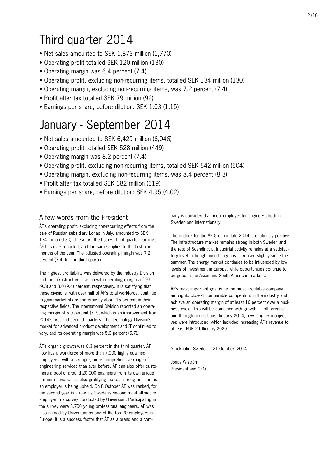# Third quarter 2014

- Net sales amounted to SEK 1,873 million (1,770)
- Operating profit totalled SEK 120 million (130)
- Operating margin was 6.4 percent (7.4)
- Operating profit, excluding non-recurring items, totalled SEK 134 million (130)
- Operating margin, excluding non-recurring items, was 7.2 percent (7.4)
- Profit after tax totalled SEK 79 million (92)
- Earnings per share, before dilution: SEK 1.03 (1.15)

# January - September 2014

- Net sales amounted to SEK 6,429 million (6,046)
- Operating profit totalled SEK 528 million (449)
- Operating margin was 8.2 percent (7.4)
- Operating profit, excluding non-recurring items, totalled SEK 542 million (504)
- Operating margin, excluding non-recurring items, was 8.4 percent (8.3)
- Profit after tax totalled SEK 382 million (319)
- Earnings per share, before dilution: SEK 4.95 (4.02)

# A few words from the President

ÅF's operating profit, excluding non-recurring effects from the sale of Russian subsidiary Lonas in July, amounted to SEK 134 million (130). These are the highest third quarter earnings ÅF has ever reported, and the same applies to the first nine months of the year. The adjusted operating margin was 7.2 percent (7.4) for the third quarter.

The highest profitability was delivered by the Industry Division and the Infrastructure Division with operating margins of 9.5 (9.3) and 8.0 (9.4) percent, respectively. It is satisfying that these divisions, with over half of ÅF's total workforce, continue to gain market share and grow by about 15 percent in their respective fields. The International Division reported an operating margin of 5.9 percent (7.7), which is an improvement from 2014's first and second quarters. The Technology Division's market for advanced product development and IT continued to vary, and its operating margin was 5.0 percent (5.7).

ÅF's organic growth was 6.3 percent in the third quarter. ÅF now has a workforce of more than 7,000 highly qualified employees, with a stronger, more comprehensive range of engineering services than ever before. ÅF can also offer customers a pool of around 20,000 engineers from its own unique partner network. It is also gratifying that our strong position as an employer is being upheld. On 8 October ÅF was ranked, for the second year in a row, as Sweden's second most attractive employer in a survey conducted by Universum. Participating in the survey were 3,700 young professional engineers. ÅF was also named by Universum as one of the top 20 employers in Europe. It is a success factor that ÅF as a brand and a company is considered an ideal employer for engineers both in Sweden and internationally.

The outlook for the ÅF Group in late 2014 is cautiously positive. The infrastructure market remains strong in both Sweden and the rest of Scandinavia. Industrial activity remains at a satisfactory level, although uncertainty has increased slightly since the summer. The energy market continues to be influenced by low levels of investment in Europe, while opportunities continue to be good in the Asian and South American markets.

ÅF's most important goal is be the most profitable company among its closest comparable competitors in the industry and achieve an operating margin of at least 10 percent over a business cycle. This will be combined with growth – both organic and through acquisitions. In early 2014, new long-term objectives were introduced, which included increasing ÅF's revenue to at least EUR 2 billion by 2020.

Stockholm, Sweden – 21 October, 2014

Jonas Wiström President and CEO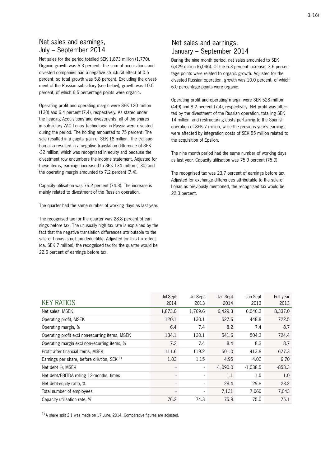# Net sales and earnings, July – September 2014

Net sales for the period totalled SEK 1,873 million (1,770). Organic growth was 6.3 percent. The sum of acquisitions and divested companies had a negative structural effect of 0.5 percent, so total growth was 5.8 percent. Excluding the divestment of the Russian subsidiary (see below), growth was 10.0 percent, of which 6.5 percentage points were organic.

Operating profit and operating margin were SEK 120 million (130) and 6.4 percent (7.4), respectively. As stated under the heading Acquisitions and divestments, all of the shares in subsidiary ZAO Lonas Technologia in Russia were divested during the period. The holding amounted to 75 percent. The sale resulted in a capital gain of SEK 18 million. The transaction also resulted in a negative translation difference of SEK -32 million, which was recognised in equity and because the divestment row encumbers the income statement. Adjusted for these items, earnings increased to SEK 134 million (130) and the operating margin amounted to 7.2 percent (7.4).

Capacity utilisation was 76.2 percent (74.3). The increase is mainly related to divestment of the Russian operation.

The quarter had the same number of working days as last year.

The recognised tax for the quarter was 28.8 percent of earnings before tax. The unusually high tax rate is explained by the fact that the negative translation differences attributable to the sale of Lonas is not tax deductible. Adjusted for this tax effect (ca. SEK 7 million), the recognised tax for the quarter would be 22.6 percent of earnings before tax.

# Net sales and earnings, January – September 2014

During the nine month period, net sales amounted to SEK 6,429 million (6,046). Of the 6.3 percent increase, 3.6 percentage points were related to organic growth. Adjusted for the divested Russian operation, growth was 10.0 percent, of which 6.0 percentage points were organic.

Operating profit and operating margin were SEK 528 million (449) and 8.2 percent (7.4), respectively. Net profit was affected by the divestment of the Russian operation, totalling SEK 14 million, and restructuring costs pertaining to the Spanish operation of SEK 7 million, while the previous year's earnings were affected by integration costs of SEK 55 million related to the acquisition of Epsilon.

The nine month period had the same number of working days as last year. Capacity utilisation was 75.9 percent (75.0).

The recognised tax was 23.7 percent of earnings before tax. Adjusted for exchange differences attributable to the sale of Lonas as previously mentioned, the recognised tax would be 22.3 percent.

| <b>KEY RATIOS</b>                               | Jul-Sept<br>2014         | Jul-Sept<br>2013         | Jan-Sept<br>2014 | Jan-Sept<br>2013 | Full year<br>2013 |
|-------------------------------------------------|--------------------------|--------------------------|------------------|------------------|-------------------|
| Net sales, MSEK                                 | 1,873.0                  | 1,769.6                  | 6,429.3          | 6,046.3          | 8,337.0           |
| Operating profit, MSEK                          | 120.1                    | 130.1                    | 527.6            | 448.8            | 722.5             |
| Operating margin, %                             | 6.4                      | 7.4                      | 8.2              | 7.4              | 8.7               |
| Operating profit excl non-recurring items, MSEK | 134.1                    | 130.1                    | 541.6            | 504.3            | 724.4             |
| Operating margin excl non-recurring items, %    | 7.2                      | 7.4                      | 8.4              | 8.3              | 8.7               |
| Profit after financial items, MSEK              | 111.6                    | 119.2                    | 501.0            | 413.8            | 677.3             |
| Earnings per share, before dillution, SEK 1)    | 1.03                     | 1.15                     | 4.95             | 4.02             | 6.70              |
| Net debt (-), MSEK                              | $\overline{\phantom{a}}$ | $\overline{\phantom{a}}$ | $-1,090.0$       | $-1,038.5$       | $-853.3$          |
| Net debt/EBITDA rolling 12-months, times        | $\overline{\phantom{a}}$ |                          | 1.1              | 1.5              | 1.0               |
| Net debt-equity ratio, %                        | ٠                        |                          | 28.4             | 29.8             | 23.2              |
| Total number of employees                       |                          |                          | 7,131            | 7.060            | 7,043             |
| Capacity utilisation rate, %                    | 76.2                     | 74.3                     | 75.9             | 75.0             | 75.1              |

 $1)$  A share split 2:1 was made on 17 June, 2014. Comparative figures are adjusted.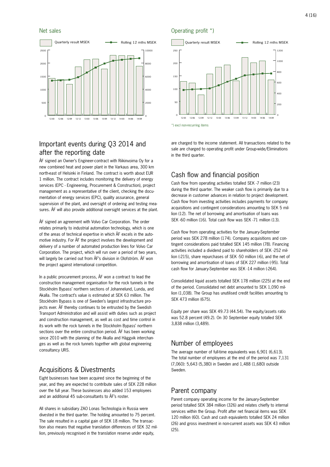

# Important events during Q3 2014 and after the reporting date

ÅF signed an Owner's Engineer-contract with Riikinvoima Oy for a new combined heat and power plant in the Varkaus area, 300 km north-east of Helsinki in Finland. The contract is worth about EUR 1 million. The contract includes monitoring the delivery of energy services (EPC - Engineering, Procurement & Construction), project management as a representative of the client, checking the documentation of energy services (EPC), quality assurance, general supervision of the plant, and oversight of ordering and testing measures. ÅF will also provide additional oversight services at the plant.

ÅF signed an agreement with Volvo Car Corporation. The order relates primarily to industrial automation technology, which is one of the areas of technical expertise in which ÅF excels in the automotive industry. For ÅF the project involves the development and delivery of a number of automated production lines for Volvo Car Corporation. The project, which will run over a period of two years, will largely be carried out from ÅF's division in Olofström. ÅF won the project against international competition.

In a public procurement process, ÅF won a contract to lead the construction management organisation for the rock tunnels in the Stockholm Bypass' northern sections of Johannelund, Lunda, and Akalla. The contract's value is estimated at SEK 63 million. The Stockholm Bypass is one of Sweden's largest infrastructure projects ever. ÅF thereby continues to be entrusted by the Swedish Transport Administration and will assist with duties such as project and construction management, as well as cost and time control in its work with the rock tunnels in the Stockholm Bypass' northern sections over the entire construction period. ÅF has been working since 2010 with the planning of the Akalla and Häggvik interchanges as well as the rock tunnels together with global engineering consultancy URS.

# Acquisitions & Divestments

Eight businesses have been acquired since the beginning of the year, and they are expected to contribute sales of SEK 228 million over the full year. These businesses also added 153 employees and an additional 45 sub-consultants to ÅF's roster.

All shares in subsidiary ZAO Lonas Technologia in Russia were divested in the third quarter. The holding amounted to 75 percent. The sale resulted in a capital gain of SEK 18 million. The transaction also means that negative translation differences of SEK 32 million, previously recognised in the translation reserve under equity,

#### Net sales **Operating profit** \*)



\*) excl non-recurring items

are charged to the income statement. All transactions related to the sale are charged to operating profit under Group-wide/Eliminations in the third quarter.

# Cash flow and financial position

Cash flow from operating activities totalled SEK -7 million (23) during the third quarter. The weaker cash flow is primarily due to a decrease in customer advances in relation to project development. Cash flow from investing activities includes payments for company acquisitions and contingent considerations amounting to SEK 5 million (12). The net of borrowing and amortisation of loans was SEK -60 million (16). Total cash flow was SEK -71 million (13).

Cash flow from operating activities for the January-September period was SEK 278 million (174). Company acquisitions and contingent considerations paid totalled SEK 145 million (78). Financing activities included a dividend paid to shareholders of SEK -252 million (-215), share repurchases of SEK -50 million (-6), and the net of borrowing and amortisation of loans of SEK 227 million (-95). Total cash flow for January-September was SEK -14 million (-264).

Consolidated liquid assets totalled SEK 178 million (225) at the end of the period. Consolidated net debt amounted to SEK 1,090 million (1,038). The Group has unutilised credit facilities amounting to SEK 473 million (675).

Equity per share was SEK 49.73 (44.54). The equity/assets ratio was 52.8 percent (49.2). On 30 September equity totalled SEK 3,838 million (3,489).

# Number of employees

The average number of full-time equivalents was 6,901 (6,613). The total number of employees at the end of the period was 7,131 (7,060): 5,643 (5,380) in Sweden and 1,488 (1,680) outside Sweden.

### Parent company

Parent company operating income for the January-September period totalled SEK 384 million (326) and relates chiefly to internal services within the Group. Profit after net financial items was SEK 120 million (60). Cash and cash equivalents totalled SEK 24 million (26) and gross investment in non-current assets was SEK 43 million (25).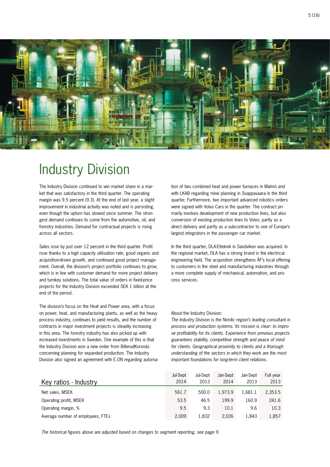

# Industry Division

The Industry Division continued to win market share in a market that was satisfactory in the third quarter. The operating margin was 9.5 percent (9.3). At the end of last year, a slight improvement in industrial activity was noted and is persisting, even though the upturn has slowed since summer. The strongest demand continues to come from the automotive, oil, and forestry industries. Demand for contractual projects is rising across all sectors.

Sales rose by just over 12 percent in the third quarter. Profit rose thanks to a high capacity utilisation rate, good organic and acquisition-driven growth, and continued good project management. Overall, the division's project portfolio continues to grow, which is in line with customer demand for more project delivery and turnkey solutions. The total value of orders in fixed-price projects for the Industry Division exceeded SEK 1 billion at the end of the period.

The division's focus on the Heat and Power area, with a focus on power, heat, and manufacturing plants, as well as the heavy process industry, continues to yield results, and the number of contracts in major investment projects is steadily increasing in this area. The forestry industry has also picked up with increased investments in Sweden. One example of this is that the Industry Division won a new order from BillerudKorsnäs concerning planning for expanded production. The Industry Division also signed an agreement with E.ON regarding automation of two combined heat and power furnaces in Malmö and with LKAB regarding mine planning in Svappavaara in the third quarter. Furthermore, two important advanced robotics orders were signed with Volvo Cars in the quarter. The contract primarily involves development of new production lines, but also conversion of existing production lines to Volvo, partly as a direct delivery and partly as a subcontractor to one of Europe's largest integrators in the passenger car market.

In the third quarter, DLA-Elteknik in Sandviken was acquired. In the regional market, DLA has a strong brand in the electrical engineering field. The acquisition strengthens ÅF's local offering to customers in the steel and manufacturing industries through a more complete supply of mechanical, automation, and process services.

#### About the Industry Division:

*The Industry Division is the Nordic region's leading consultant in process and production systems. Its mission is clear: to improve profitability for its clients. Experience from previous projects guarantees stability, competitive strength and peace of mind for clients. Geographical proximity to clients and a thorough understanding of the sectors in which they work are the most important foundations for long-term client relations.*

| Key ratios - Industry             | Jul-Sept<br>2014 | Jul-Sept<br>2013 | Jan-Sept<br>2014 | Jan-Sept<br>2013 | Full year<br>2013 |
|-----------------------------------|------------------|------------------|------------------|------------------|-------------------|
| Net sales, MSEK                   | 561.7            | 500.0            | 1.973.9          | 1.681.1          | 2,353.5           |
| Operating profit, MSEK            | 53.5             | 46.5             | 199.9            | 160.9            | 241.6             |
| Operating margin, %               | 9.5              | 9.3              | 10.1             | 9.6              | 10.3              |
| Average number of employees, FTEs | 2.009            | 1.832            | 2,026            | 1.843            | 1,857             |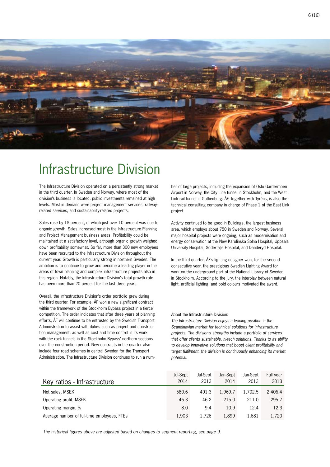

# Infrastructure Division

The Infrastructure Division operated on a persistently strong market in the third quarter. In Sweden and Norway, where most of the division's business is located, public investments remained at high levels. Most in demand were project management services, railwayrelated services, and sustainability-related projects.

Sales rose by 18 percent, of which just over 10 percent was due to organic growth. Sales increased most in the Infrastructure Planning and Project Management business areas. Profitability could be maintained at a satisfactory level, although organic growth weighed down profitability somewhat. So far, more than 300 new employees have been recruited to the Infrastructure Division throughout the current year. Growth is particularly strong in northern Sweden. The ambition is to continue to grow and become a leading player in the areas of town planning and complex infrastructure projects also in this region. Notably, the Infrastructure Division's total growth rate has been more than 20 percent for the last three years.

Overall, the Infrastructure Division's order portfolio grew during the third quarter. For example, ÅF won a new significant contract within the framework of the Stockholm Bypass project in a fierce competition. The order indicates that after three years of planning efforts, ÅF will continue to be entrusted by the Swedish Transport Administration to assist with duties such as project and construction management, as well as cost and time control in its work with the rock tunnels in the Stockholm Bypass' northern sections over the construction period. New contracts in the quarter also include four road schemes in central Sweden for the Transport Administration. The Infrastructure Division continues to run a number of large projects, including the expansion of Oslo Gardermoen Airport in Norway, the City Line tunnel in Stockholm, and the West Link rail tunnel in Gothenburg. ÅF, together with Tyréns, is also the technical consulting company in charge of Phase 1 of the East Link project.

Activity continued to be good in Buildings, the largest business area, which employs about 750 in Sweden and Norway. Several major hospital projects were ongoing, such as modernisation and energy conservation at the New Karolinska Solna Hospital, Uppsala University Hospital, Södertälje Hospital, and Danderyd Hospital.

In the third quarter, ÅF's lighting designer won, for the second consecutive year, the prestigious Swedish Lighting Award for work on the underground part of the National Library of Sweden in Stockholm. According to the jury, the interplay between natural light, artificial lighting, and bold colours motivated the award.

About the Infrastructure Division:

*The Infrastructure Division enjoys a leading position in the Scandinavian market for technical solutions for infrastructure projects. The division's strengths include a portfolio of services that offer clients sustainable, hi-tech solutions. Thanks to its ability to develop innovative solutions that boost client profitability and target fulfilment, the division is continuously enhancing its market potential.*

| Key ratios - Infrastructure                 | Jul-Sept<br>2014 | Jul-Sept<br>2013 | Jan-Sept<br>2014 | Jan-Sept<br>2013 | Full year<br>2013 |
|---------------------------------------------|------------------|------------------|------------------|------------------|-------------------|
| Net sales, MSEK                             | 580.6            | 491.3            | 1.969.7          | 1.702.5          | 2,406.4           |
| Operating profit, MSEK                      | 46.3             | 46.2             | 215.0            | 211.0            | 295.7             |
| Operating margin, %                         | 8.0              | 9.4              | 10.9             | 12.4             | 12.3              |
| Average number of full-time employees, FTEs | 1.903            | 1.726            | 1,899            | 1.681            | 1,720             |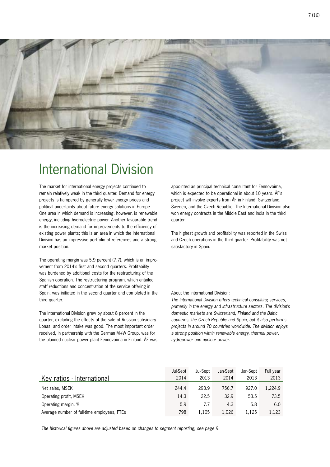

# International Division

The market for international energy projects continued to remain relatively weak in the third quarter. Demand for energy projects is hampered by generally lower energy prices and political uncertainty about future energy solutions in Europe. One area in which demand is increasing, however, is renewable energy, including hydroelectric power. Another favourable trend is the increasing demand for improvements to the efficiency of existing power plants; this is an area in which the International Division has an impressive portfolio of references and a strong market position.

The operating margin was 5.9 percent (7.7), which is an improvement from 2014's first and second quarters. Profitability was burdened by additional costs for the restructuring of the Spanish operation. The restructuring program, which entailed staff reductions and concentration of the service offering in Spain, was initiated in the second quarter and completed in the third quarter.

The International Division grew by about 8 percent in the quarter, excluding the effects of the sale of Russian subsidiary Lonas, and order intake was good. The most important order received, in partnership with the German M+W Group, was for the planned nuclear power plant Fennovoima in Finland. ÅF was

appointed as principal technical consultant for Fennovoima, which is expected to be operational in about 10 years. ÅF's project will involve experts from ÅF in Finland, Switzerland, Sweden, and the Czech Republic. The International Division also won energy contracts in the Middle East and India in the third quarter.

The highest growth and profitability was reported in the Swiss and Czech operations in the third quarter. Profitability was not satisfactory in Spain.

#### About the International Division:

*The International Division offers technical consulting services, primarily in the energy and infrastructure sectors. The division's domestic markets are Switzerland, Finland and the Baltic countries, the Czech Republic and Spain, but it also performs projects in around 70 countries worldwide. The division enjoys a strong position within renewable energy, thermal power, hydropower and nuclear power.*

|                                             | Jul-Sept | Jul-Sept | Jan-Sept | Jan-Sept | Full year |
|---------------------------------------------|----------|----------|----------|----------|-----------|
| Key ratios - International                  | 2014     | 2013     | 2014     | 2013     | 2013      |
| Net sales, MSEK                             | 244.4    | 293.9    | 756.7    | 927.0    | 1,224.9   |
| Operating profit, MSEK                      | 14.3     | 22.5     | 32.9     | 53.5     | 73.5      |
| Operating margin, %                         | 5.9      | 7.7      | 4.3      | 5.8      | 6.0       |
| Average number of full-time employees, FTEs | 798      | 1.105    | 1.026    | 1.125    | 1,123     |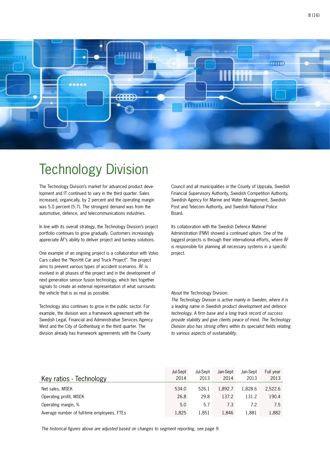

# Technology Division

The Technology Division's market for advanced product development and IT continued to vary in the third quarter. Sales increased, organically, by 2 percent and the operating margin was 5.0 percent (5.7). The strongest demand was from the automotive, defence, and telecommunications industries.

In line with its overall strategy, the Technology Division's project portfolio continues to grow gradually. Customers increasingly appreciate ÅF's ability to deliver project and turnkey solutions.

One example of an ongoing project is a collaboration with Volvo Cars called the "Non-Hit Car and Truck Project". The project aims to prevent various types of accident scenarios. ÅF is involved in all phases of the project and in the development of next generation sensor fusion technology, which ties together signals to create an external representation of what surrounds the vehicle that is as real as possible.

Technology also continues to grow in the public sector. For example, the division won a framework agreement with the Swedish Legal, Financial and Administrative Services Agency West and the City of Gothenburg in the third quarter. The division already has framework agreements with the County

Council and all municipalities in the County of Uppsala, Swedish Financial Supervisory Authority, Swedish Competition Authority, Swedish Agency for Marine and Water Management, Swedish Post and Telecom Authority, and Swedish National Police Board.

Its collaboration with the Swedish Defence Materiel Administration (FMV) showed a continued upturn. One of the biggest projects is through their international efforts, where ÅF is responsible for planning all necessary systems in a specific project.

#### About the Technology Division:

*The Technology Division is active mainly in Sweden, where it is a leading name in Swedish product development and defence technology. A firm base and a long track record of success provide stability and give clients peace of mind. The Technology Division also has strong offers within its specialist fields relating to various aspects of sustainability.* 

|                                             | Jul-Sept | Jul-Sept | Jan-Sept | Jan-Sept | Full year |
|---------------------------------------------|----------|----------|----------|----------|-----------|
| Key ratios - Technology                     | 2014     | 2013     | 2014     | 2013     | 2013      |
| Net sales, MSEK                             | 534.0    | 526.1    | 1.892.7  | 1.828.6  | 2,522.6   |
| Operating profit, MSEK                      | 26.8     | 29.8     | 137.2    | 131.2    | 190.4     |
| Operating margin, %                         | 5.0      | 5.7      | 7.3      | 7.2      | 7.5       |
| Average number of full-time employees, FTEs | 1.825    | 1.851    | 1.846    | 1.881    | 1,882     |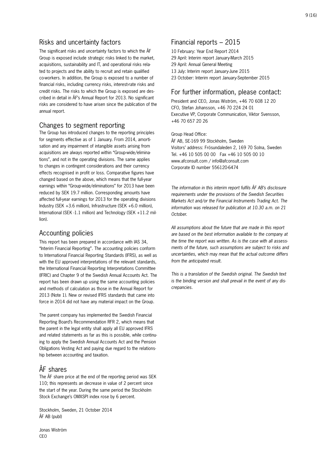### Risks and uncertainty factors

The significant risks and uncertainty factors to which the ÅF Group is exposed include strategic risks linked to the market, acquisitions, sustainability and IT, and operational risks related to projects and the ability to recruit and retain qualified co-workers. In addition, the Group is exposed to a number of financial risks, including currency risks, interest-rate risks and credit risks. The risks to which the Group is exposed are described in detail in ÅF's Annual Report for 2013. No significant risks are considered to have arisen since the publication of the annual report.

### Changes to segment reporting

The Group has introduced changes to the reporting principles for segments effective as of 1 January. From 2014, amortisation and any impairment of intangible assets arising from acquisitions are always reported within "Group-wide/eliminations", and not in the operating divisions. The same applies to changes in contingent considerations and their currency effects recognised in profit or loss. Comparative figures have changed based on the above, which means that the full-year earnings within "Group-wide/eliminations" for 2013 have been reduced by SEK 19.7 million. Corresponding amounts have affected full-year earnings for 2013 for the operating divisions Industry (SEK +3.6 million), Infrastructure (SEK +6.0 million), International (SEK -1.1 million) and Technology (SEK +11.2 million).

## Accounting policies

This report has been prepared in accordance with IAS 34, "Interim Financial Reporting". The accounting policies conform to International Financial Reporting Standards (IFRS), as well as with the EU approved interpretations of the relevant standards, the International Financial Reporting Interpretations Committee (IFRIC) and Chapter 9 of the Swedish Annual Accounts Act. The report has been drawn up using the same accounting policies and methods of calculation as those in the Annual Report for 2013 (Note 1). New or revised IFRS standards that came into force in 2014 did not have any material impact on the Group.

The parent company has implemented the Swedish Financial Reporting Board's Recommendation RFR 2, which means that the parent in the legal entity shall apply all EU approved IFRS and related statements as far as this is possible, while continuing to apply the Swedish Annual Accounts Act and the Pension Obligations Vesting Act and paying due regard to the relationship between accounting and taxation.

# ÅF shares

The ÅF share price at the end of the reporting period was SEK 110; this represents an decrease in value of 2 percent since the start of the year. During the same period the Stockholm Stock Exchange's OMXSPI index rose by 6 percent.

Stockholm, Sweden, 21 October 2014 ÅF AB (publ)

Jonas Wiström CEO

# Financial reports – 2015

10 February: Year End Report 2014 29 April: Interim report January-March 2015 29 April: Annual General Meeting

- 13 July: Interim report January-June 2015
- 23 October: Interim report January-September 2015

## For further information, please contact:

President and CEO, Jonas Wiström, +46 70 608 12 20 CFO, Stefan Johansson, +46 70 224 24 01 Executive VP, Corporate Communication, Viktor Svensson, +46 70 657 20 26

Group Head Office:

ÅF AB, SE-169 99 Stockholm, Sweden Visitors' address: Frösundaleden 2, 169 70 Solna, Sweden Tel. +46 10 505 00 00 Fax +46 10 505 00 10 www.afconsult.com / info@afconsult.com Corporate ID number 556120-6474

*The information in this interim report fulfils ÅF AB's disclosure requirements under the provisions of the Swedish Securities Markets Act and/or the Financial Instruments Trading Act. The information was released for publication at 10.30 a.m. on 21 October.*

*All assumptions about the future that are made in this report are based on the best information available to the company at the time the report was written. As is the case with all assessments of the future, such assumptions are subject to risks and uncertainties, which may mean that the actual outcome differs from the anticipated result.*

*This is a translation of the Swedish original. The Swedish text is the binding version and shall prevail in the event of any discrepancies.*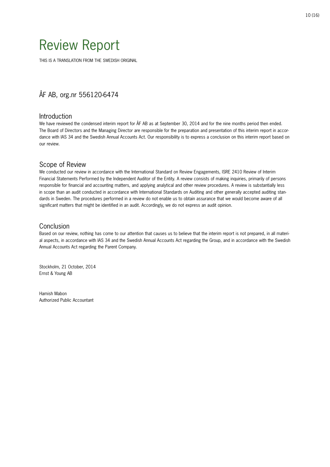# Review Report

THIS IS A TRANSLATION FROM THE SWEDISH ORIGINAL

# ÅF AB, org.nr 556120-6474

### Introduction

We have reviewed the condensed interim report for ÅF AB as at September 30, 2014 and for the nine months period then ended. The Board of Directors and the Managing Director are responsible for the preparation and presentation of this interim report in accordance with IAS 34 and the Swedish Annual Accounts Act. Our responsibility is to express a conclusion on this interim report based on our review.

### Scope of Review

We conducted our review in accordance with the International Standard on Review Engagements, ISRE 2410 Review of Interim Financial Statements Performed by the Independent Auditor of the Entity. A review consists of making inquiries, primarily of persons responsible for financial and accounting matters, and applying analytical and other review procedures. A review is substantially less in scope than an audit conducted in accordance with International Standards on Auditing and other generally accepted auditing standards in Sweden. The procedures performed in a review do not enable us to obtain assurance that we would become aware of all significant matters that might be identified in an audit. Accordingly, we do not express an audit opinion.

### Conclusion

Based on our review, nothing has come to our attention that causes us to believe that the interim report is not prepared, in all material aspects, in accordance with IAS 34 and the Swedish Annual Accounts Act regarding the Group, and in accordance with the Swedish Annual Accounts Act regarding the Parent Company.

Stockholm, 21 October, 2014 Ernst & Young AB

Hamish Mabon Authorized Public Accountant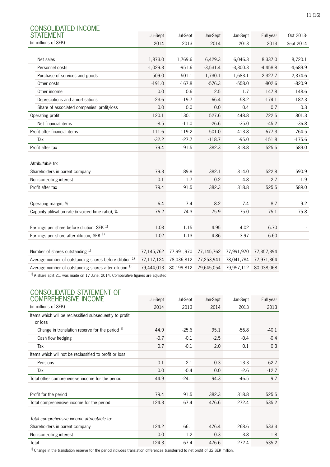| CONSOLIDATED INCOME                                     |            |            |            |            |            |            |
|---------------------------------------------------------|------------|------------|------------|------------|------------|------------|
| STATEMENT                                               | Jul-Sept   | Jul-Sept   | Jan-Sept   | Jan-Sept   | Full year  | Oct 2013-  |
| (in millions of SEK)                                    | 2014       | 2013       | 2014       | 2013       | 2013       | Sept 2014  |
|                                                         |            |            |            |            |            |            |
| Net sales                                               | 1,873.0    | 1,769.6    | 6,429.3    | 6,046.3    | 8,337.0    | 8,720.1    |
| Personnel costs                                         | $-1,029.3$ | $-951.6$   | $-3,531.4$ | $-3,300.3$ | $-4,458.8$ | $-4,689.9$ |
| Purchase of services and goods                          | $-509.0$   | $-501.1$   | $-1,730.1$ | $-1,683.1$ | $-2,327.7$ | $-2,374.6$ |
| Other costs                                             | $-191.0$   | $-167.8$   | $-576.3$   | $-558.0$   | $-802.6$   | $-820.9$   |
| Other income                                            | 0.0        | 0.6        | 2.5        | 1.7        | 147.8      | 148.6      |
| Depreciations and amortisations                         | $-23.6$    | $-19.7$    | $-66.4$    | $-58.2$    | $-174.1$   | $-182.3$   |
| Share of associated companies' profit/loss              | 0.0        | 0.0        | 0.0        | 0.4        | 0.7        | 0.3        |
| Operating profit                                        | 120.1      | 130.1      | 527.6      | 448.8      | 722.5      | 801.3      |
| Net financial items                                     | $-8.5$     | $-11.0$    | $-26.6$    | $-35.0$    | $-45.2$    | $-36.8$    |
| Profit after financial items                            | 111.6      | 119.2      | 501.0      | 413.8      | 677.3      | 764.5      |
| Tax                                                     | $-32.2$    | $-27.7$    | $-118.7$   | $-95.0$    | $-151.8$   | $-175.6$   |
| Profit after tax                                        | 79.4       | 91.5       | 382.3      | 318.8      | 525.5      | 589.0      |
|                                                         |            |            |            |            |            |            |
| Attributable to:                                        |            |            |            |            |            |            |
| Shareholders in parent company                          | 79.3       | 89.8       | 382.1      | 314.0      | 522.8      | 590.9      |
| Non-controlling interest                                | 0.1        | 1.7        | 0.2        | 4.8        | 2.7        | $-1.9$     |
| Profit after tax                                        | 79.4       | 91.5       | 382.3      | 318.8      | 525.5      | 589.0      |
|                                                         |            |            |            |            |            |            |
| Operating margin, %                                     | 6.4        | 7.4        | 8.2        | 7.4        | 8.7        | 9.2        |
| Capacity utilisation rate (invoiced time ratio), %      | 76.2       | 74.3       | 75.9       | 75.0       | 75.1       | 75.8       |
|                                                         |            |            |            |            |            |            |
| Earnings per share before dilution. SEK 1)              | 1.03       | 1.15       | 4.95       | 4.02       | 6.70       |            |
| Earnings per share after dilution, SEK 1)               | 1.02       | 1.13       | 4.86       | 3.97       | 6.60       |            |
|                                                         |            |            |            |            |            |            |
| Number of shares outstanding 1)                         | 77,145,762 | 77,991,970 | 77,145,762 | 77,991,970 | 77,357,394 |            |
| Average number of outstanding shares before dilution 1) | 77,117,124 | 78,036,812 | 77,253,941 | 78,041,784 | 77,971,364 |            |
| Average number of outstanding shares after dilution 1)  | 79,444,013 | 80,199,812 | 79,645,054 | 79,957,112 | 80,038,068 |            |
|                                                         |            |            |            |            |            |            |

 $^{1)}$  A share split 2:1 was made on 17 June, 2014. Comparative figures are adjusted.

# CONSOLIDATED STATEMENT OF

| <b>COMPREHENSIVE INCOME</b>                             | Jul-Sept | Jul-Sept | Jan-Sept | Jan-Sept | Full year |
|---------------------------------------------------------|----------|----------|----------|----------|-----------|
| (in millions of SEK)                                    | 2014     | 2013     | 2014     | 2013     | 2013      |
| Items which will be reclassified subsequently to profit |          |          |          |          |           |
| or loss                                                 |          |          |          |          |           |
| Change in translation reserve for the period $1$        | 44.9     | $-25.6$  | 95.1     | $-56.8$  | $-40.1$   |
| Cash flow hedging                                       | $-0.7$   | $-0.1$   | $-2.5$   | $-0.4$   | $-0.4$    |
| Tax                                                     | 0.7      | $-0.1$   | 2.0      | 0.1      | 0.3       |
| Items which will not be reclassified to profit or loss  |          |          |          |          |           |
| Pensions                                                | $-0.1$   | 2.1      | $-0.3$   | 13.3     | 62.7      |
| Tax                                                     | 0.0      | $-0.4$   | 0.0      | $-2.6$   | $-12.7$   |
| Total other comprehensive income for the period         | 44.9     | $-24.1$  | 94.3     | $-46.5$  | 9.7       |
|                                                         |          |          |          |          |           |
| Profit for the period                                   | 79.4     | 91.5     | 382.3    | 318.8    | 525.5     |
| Total comprehensive income for the period               | 124.3    | 67.4     | 476.6    | 272.4    | 535.2     |
|                                                         |          |          |          |          |           |
| Total comprehensive income attributable to:             |          |          |          |          |           |
| Shareholders in parent company                          | 124.2    | 66.1     | 476.4    | 268.6    | 533.3     |
| Non-controlling interest                                | 0.0      | 1.2      | 0.3      | 3.8      | 1.8       |
| Total                                                   | 124.3    | 67.4     | 476.6    | 272.4    | 535.2     |

 $1)$  Change in the translation reserve for the period includes translation differences transferred to net profit of 32 SEK million.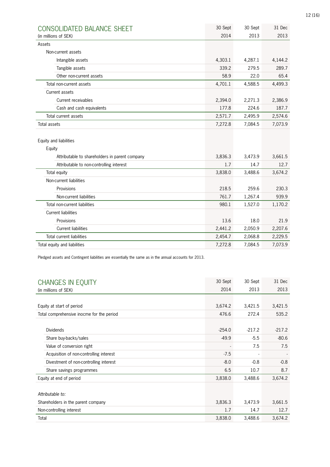| CONSOLIDATED BALANCE SHEET                     | 30 Sept | 30 Sept | 31 Dec  |
|------------------------------------------------|---------|---------|---------|
| (in millions of SEK)                           | 2014    | 2013    | 2013    |
| Assets                                         |         |         |         |
| Non-current assets                             |         |         |         |
| Intangible assets                              | 4,303.1 | 4,287.1 | 4,144.2 |
| Tangible assets                                | 339.2   | 279.5   | 289.7   |
| Other non-current assets                       | 58.9    | 22.0    | 65.4    |
| Total non-current assets                       | 4,701.1 | 4,588.5 | 4,499.3 |
| Current assets                                 |         |         |         |
| Current receivables                            | 2,394.0 | 2,271.3 | 2,386.9 |
| Cash and cash equivalents                      | 177.8   | 224.6   | 187.7   |
| Total current assets                           | 2,571.7 | 2,495.9 | 2,574.6 |
| <b>Total assets</b>                            | 7,272.8 | 7,084.5 | 7,073.9 |
|                                                |         |         |         |
| Equity and liabilities                         |         |         |         |
| Equity                                         |         |         |         |
| Attributable to shareholders in parent company | 3,836.3 | 3,473.9 | 3,661.5 |
| Attributable to non-controlling interest       | 1.7     | 14.7    | 12.7    |
| Total equity                                   | 3,838.0 | 3,488.6 | 3,674.2 |
| Non-current liabilities                        |         |         |         |
| Provisions                                     | 218.5   | 259.6   | 230.3   |
| Non-current liabilities                        | 761.7   | 1,267.4 | 939.9   |
| Total non-current liabilities                  | 980.1   | 1,527.0 | 1,170.2 |
| <b>Current liabilities</b>                     |         |         |         |
| Provisions                                     | 13.6    | 18.0    | 21.9    |
| <b>Current liabilities</b>                     | 2,441.2 | 2,050.9 | 2,207.6 |
| Total current liabilities                      | 2,454.7 | 2,068.8 | 2,229.5 |
| Total equity and liabilities                   | 7,272.8 | 7,084.5 | 7,073.9 |

Pledged assets and Contingent liabilities are essentially the same as in the annual accounts for 2013.

|       | <b>CHANGES IN EQUITY</b>                  | 30 Sept  | 30 Sept  | 31 Dec   |
|-------|-------------------------------------------|----------|----------|----------|
|       | (in millions of SEK)                      | 2014     | 2013     | 2013     |
|       |                                           |          |          |          |
|       | Equity at start of period                 | 3,674.2  | 3,421.5  | 3,421.5  |
|       | Total comprehensive inocme for the period | 476.6    | 272.4    | 535.2    |
|       |                                           |          |          |          |
|       | <b>Dividends</b>                          | $-254.0$ | $-217.2$ | $-217.2$ |
|       | Share buy-backs/sales                     | $-49.9$  | $-5.5$   | $-80.6$  |
|       | Value of conversion right                 |          | 7.5      | 7.5      |
|       | Acquisition of non-controlling interest   | $-7.5$   |          |          |
|       | Divestment of non-controlling interest    | $-8.0$   | $-0.8$   | $-0.8$   |
|       | Share savings programmes                  | 6.5      | 10.7     | 8.7      |
|       | Equity at end of period                   | 3,838.0  | 3,488.6  | 3,674.2  |
|       |                                           |          |          |          |
|       | Attributable to:                          |          |          |          |
|       | Shareholders in the parent company        | 3,836.3  | 3,473.9  | 3,661.5  |
|       | Non-controlling interest                  | 1.7      | 14.7     | 12.7     |
| Total |                                           | 3,838.0  | 3,488.6  | 3,674.2  |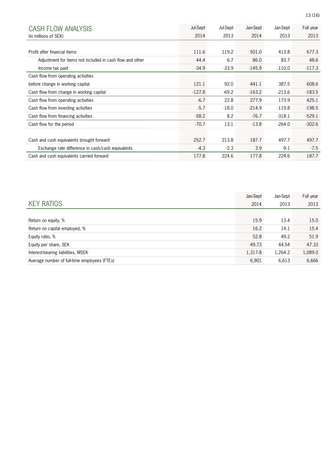| <b>CASH FLOW ANALYSIS</b>                                | Jul-Sept | Jul-Sept | Jan-Sept | Jan-Sept | Full year |
|----------------------------------------------------------|----------|----------|----------|----------|-----------|
| (in millions of SEK)                                     | 2014     | 2013     | 2014     | 2013     | 2013      |
|                                                          |          |          |          |          |           |
| Profit after financial items                             | 111.6    | 119.2    | 501.0    | 413.8    | 677.3     |
| Adjustment for items not included in cash flow and other | 44.4     | 6.7      | 86.0     | 83.7     | 48.6      |
| Income tax paid                                          | $-34.9$  | $-33.9$  | $-145.9$ | $-110.0$ | $-117.3$  |
| Cash flow from operating activities                      |          |          |          |          |           |
| before change in working capital                         | 121.1    | 92.0     | 441.1    | 387.5    | 608.6     |
| Cash flow from change in working capital                 | $-127.8$ | $-69.2$  | $-163.2$ | $-213.6$ | $-183.5$  |
| Cash flow from operating activities                      | $-6.7$   | 22.8     | 277.9    | 173.9    | 425.1     |
| Cash flow from investing activities                      | $-5.7$   | $-18.0$  | $-214.9$ | $-119.8$ | $-198.5$  |
| Cash flow from financing activities                      | $-58.2$  | 8.2      | $-76.7$  | $-318.1$ | $-529.1$  |
| Cash flow for the period                                 | $-70.7$  | 13.1     | $-13.8$  | $-264.0$ | $-302.6$  |
|                                                          |          |          |          |          |           |
| Cash and cash equivalents brought forward                | 252.7    | 213.8    | 187.7    | 497.7    | 497.7     |
| Exchange rate difference in cash/cash equivalents        | $-4.3$   | $-2.3$   | 3.9      | $-9.1$   | $-7.5$    |
| Cash and cash equivalents carried forward                | 177.8    | 224.6    | 177.8    | 224.6    | 187.7     |

|                                              | Jan-Sept | Jan-Sept | Full year |
|----------------------------------------------|----------|----------|-----------|
| <b>KEY RATIOS</b>                            | 2014     | 2013     | 2013      |
|                                              |          |          |           |
| Return on equity, %                          | 15.9     | 13.4     | 15.0      |
| Return on capital employed, %                | 16.2     | 14.1     | 15.4      |
| Equity ratio, %                              | 52.8     | 49.2     | 51.9      |
| Equity per share, SEK                        | 49.73    | 44.54    | 47.33     |
| Interest-bearing liabilities, MSEK           | 1,317.8  | 1,264.2  | 1,089.0   |
| Average number of full-time employees (FTEs) | 6,901    | 6,613    | 6,666     |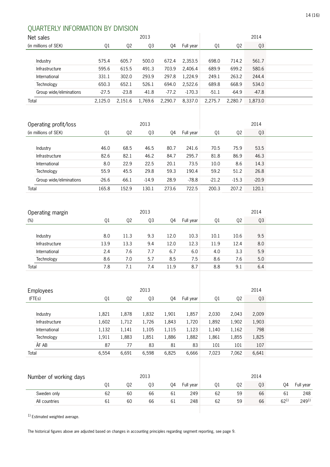# QUARTERLY INFORMATION BY DIVISION

| Net sales               |         |         | 2013    |         |           |         |                | 2014    |  |
|-------------------------|---------|---------|---------|---------|-----------|---------|----------------|---------|--|
| (in millions of SEK)    | Q1      | Q2      | Q3      | Q4      | Full year | Q1      | Q <sub>2</sub> | Q3      |  |
|                         |         |         |         |         |           |         |                |         |  |
| Industry                | 575.4   | 605.7   | 500.0   | 672.4   | 2,353.5   | 698.0   | 714.2          | 561.7   |  |
| Infrastructure          | 595.6   | 615.5   | 491.3   | 703.9   | 2.406.4   | 689.9   | 699.2          | 580.6   |  |
| International           | 331.1   | 302.0   | 293.9   | 297.8   | 1.224.9   | 249.1   | 263.2          | 244.4   |  |
| Technology              | 650.3   | 652.1   | 526.1   | 694.0   | 2.522.6   | 689.8   | 668.9          | 534.0   |  |
| Group wide/eliminations | $-27.5$ | $-23.8$ | $-41.8$ | $-77.2$ | $-170.3$  | $-51.1$ | $-64.9$        | $-47.8$ |  |
| Total                   | 2.125.0 | 2.151.6 | 1,769.6 | 2,290.7 | 8,337.0   | 2,275.7 | 2,280.7        | 1,873.0 |  |
|                         |         |         |         |         |           |         |                |         |  |

|         |                | 2013    |       | 2014      |         |                |         |  |
|---------|----------------|---------|-------|-----------|---------|----------------|---------|--|
| Q1      | Q <sub>2</sub> | Q3      | Q4    | Full year | Q1      | Q <sub>2</sub> | Q3      |  |
|         |                |         |       |           |         |                |         |  |
| 46.0    | 68.5           | 46.5    | 80.7  | 241.6     | 70.5    | 75.9           | 53.5    |  |
| 82.6    | 82.1           | 46.2    | 84.7  | 295.7     | 81.8    | 86.9           | 46.3    |  |
| 8.0     | 22.9           | 22.5    | 20.1  | 73.5      | 10.0    | 8.6            | 14.3    |  |
| 55.9    | 45.5           | 29.8    | 59.3  | 190.4     | 59.2    | 51.2           | 26.8    |  |
| $-26.6$ | $-66.1$        | $-14.9$ | 28.9  | $-78.8$   | $-21.2$ | $-15.3$        | $-20.9$ |  |
| 165.8   | 152.9          | 130.1   | 273.6 | 722.5     | 200.3   | 207.2          | 120.1   |  |
|         |                |         |       |           |         |                |         |  |

| Operating margin |      |      | 2014 |      |           |      |      |     |
|------------------|------|------|------|------|-----------|------|------|-----|
| $(\%)$           | Q1   | Q2   | Q3   | Q4   | Full year | Q1   | 02   | Q3  |
|                  |      |      |      |      |           |      |      |     |
| Industry         | 8.0  | 11.3 | 9.3  | 12.0 | 10.3      | 10.1 | 10.6 | 9.5 |
| Infrastructure   | 13.9 | 13.3 | 9.4  | 12.0 | 12.3      | 11.9 | 12.4 | 8.0 |
| International    | 2.4  | 7.6  | 7.7  | 6.7  | 6.0       | 4.0  | 3.3  | 5.9 |
| Technology       | 8.6  | 7.0  | 5.7  | 8.5  | 7.5       | 8.6  | 7.6  | 5.0 |
| Total            | 7.8  | 7.1  | 7.4  | 11.9 | 8.7       | 8.8  | 9.1  | 6.4 |

| <b>Employees</b> |       |                | 2013  |       |           |       |                |       |  |
|------------------|-------|----------------|-------|-------|-----------|-------|----------------|-------|--|
| (FTEs)           | Q1    | Q <sub>2</sub> | Q3    | Q4    | Full year | Q1    | Q <sub>2</sub> | Q3    |  |
|                  |       |                |       |       |           |       |                |       |  |
| Industry         | 1,821 | 1,878          | 1,832 | 1,901 | 1,857     | 2,030 | 2,043          | 2,009 |  |
| Infrastructure   | 1,602 | 1,712          | 1,726 | 1,843 | 1,720     | 1,892 | 1,902          | 1,903 |  |
| International    | 1,132 | 1,141          | 1,105 | 1,115 | 1,123     | 1,140 | 1,162          | 798   |  |
| Technology       | 1,911 | 1,883          | 1,851 | 1,886 | 1,882     | 1,861 | 1,855          | 1,825 |  |
| ÅF AB            | 87    | 77             | 83    | 81    | 83        | 101   | 101            | 107   |  |
| Total            | 6,554 | 6,691          | 6,598 | 6,825 | 6,666     | 7,023 | 7,062          | 6,641 |  |
|                  |       |                |       |       |           |       |                |       |  |
|                  |       |                |       |       |           |       |                |       |  |

| Number of working days |    |    | 2013 |    |           |    |    | 2014 |          |           |
|------------------------|----|----|------|----|-----------|----|----|------|----------|-----------|
|                        |    | 02 | 03   | 04 | Full year | 01 | 02 | Q3   | 04       | Full year |
| Sweden only            | 62 | 60 | 66   | 61 | 249       | 62 | 59 | 66   | 61       | 248       |
| All countries          | 61 | 60 | 66   | 61 | 248       | 62 | 59 | 66   | $62^{1}$ | $249^{1}$ |
|                        |    |    |      |    |           |    |    |      |          |           |

 $1)$  Estimated weighted average.

The historical figures above are adjusted based on changes in accounting principles regarding segment reporting, see page 9.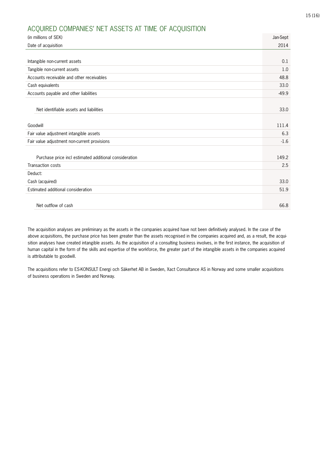#### 15 (16)

## ACQUIRED COMPANIES' NET ASSETS AT TIME OF ACQUISITION

| (in millions of SEK)                                   | Jan-Sept |
|--------------------------------------------------------|----------|
| Date of acquisition                                    | 2014     |
|                                                        |          |
|                                                        |          |
| Intangible non-current assets                          | 0.1      |
| Tangible non-current assets                            | 1.0      |
| Accounts receivable and other receivables              | 48.8     |
| Cash equivalents                                       | 33.0     |
| Accounts payable and other liabilities                 | $-49.9$  |
|                                                        |          |
| Net identifiable assets and liabilities                | 33.0     |
|                                                        |          |
| Goodwill                                               | 111.4    |
| Fair value adjustment intangible assets                | 6.3      |
| Fair value adjustment non-current provisions           | $-1.6$   |
|                                                        |          |
| Purchase price incl estimated additional consideration | 149.2    |
| Transaction costs                                      | 2.5      |
| Deduct:                                                |          |
| Cash (acquired)                                        | 33.0     |
| Estimated additional consideration                     | 51.9     |
|                                                        |          |
| Net outflow of cash                                    | 66.8     |

The acquisition analyses are preliminary as the assets in the companies acquired have not been definitively analysed. In the case of the above acquisitions, the purchase price has been greater than the assets recognised in the companies acquired and, as a result, the acquisition analyses have created intangible assets. As the acquisition of a consulting business involves, in the first instance, the acquisition of human capital in the form of the skills and expertise of the workforce, the greater part of the intangible assets in the companies acquired is attributable to goodwill.

The acquisitions refer to ES-KONSULT Energi och Säkerhet AB in Sweden, Xact Consultance AS in Norway and some smaller acquisitions of business operations in Sweden and Norway.